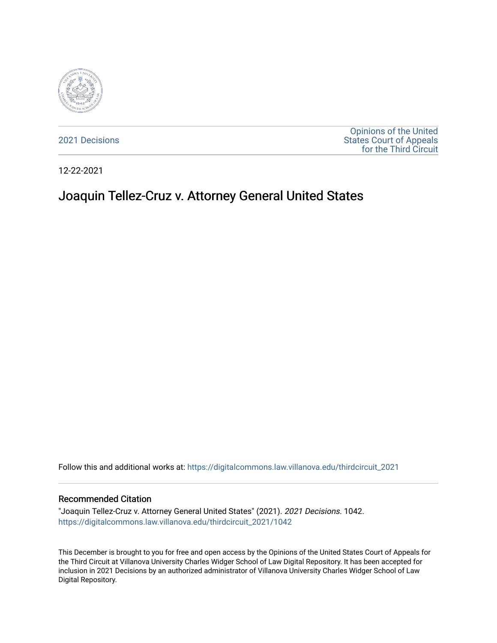

[2021 Decisions](https://digitalcommons.law.villanova.edu/thirdcircuit_2021)

[Opinions of the United](https://digitalcommons.law.villanova.edu/thirdcircuit)  [States Court of Appeals](https://digitalcommons.law.villanova.edu/thirdcircuit)  [for the Third Circuit](https://digitalcommons.law.villanova.edu/thirdcircuit) 

12-22-2021

# Joaquin Tellez-Cruz v. Attorney General United States

Follow this and additional works at: [https://digitalcommons.law.villanova.edu/thirdcircuit\\_2021](https://digitalcommons.law.villanova.edu/thirdcircuit_2021?utm_source=digitalcommons.law.villanova.edu%2Fthirdcircuit_2021%2F1042&utm_medium=PDF&utm_campaign=PDFCoverPages) 

### Recommended Citation

"Joaquin Tellez-Cruz v. Attorney General United States" (2021). 2021 Decisions. 1042. [https://digitalcommons.law.villanova.edu/thirdcircuit\\_2021/1042](https://digitalcommons.law.villanova.edu/thirdcircuit_2021/1042?utm_source=digitalcommons.law.villanova.edu%2Fthirdcircuit_2021%2F1042&utm_medium=PDF&utm_campaign=PDFCoverPages) 

This December is brought to you for free and open access by the Opinions of the United States Court of Appeals for the Third Circuit at Villanova University Charles Widger School of Law Digital Repository. It has been accepted for inclusion in 2021 Decisions by an authorized administrator of Villanova University Charles Widger School of Law Digital Repository.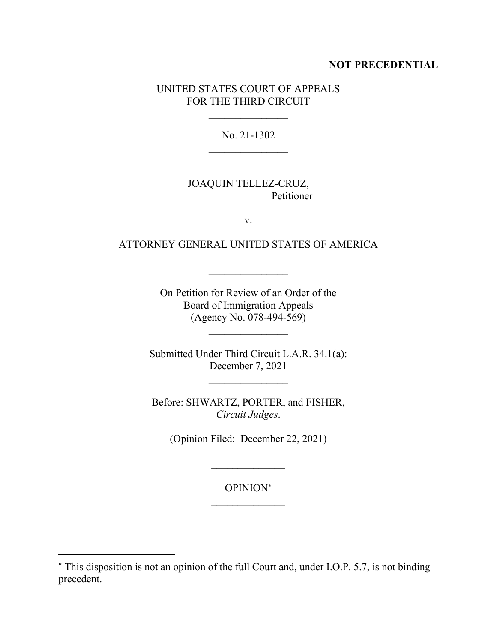### **NOT PRECEDENTIAL**

### UNITED STATES COURT OF APPEALS FOR THE THIRD CIRCUIT

No. 21-1302

# JOAQUIN TELLEZ-CRUZ, Petitioner

v.

# ATTORNEY GENERAL UNITED STATES OF AMERICA

On Petition for Review of an Order of the Board of Immigration Appeals (Agency No. 078-494-569)

Submitted Under Third Circuit L.A.R. 34.1(a): December 7, 2021

Before: SHWARTZ, PORTER, and FISHER, *Circuit Judges*.

(Opinion Filed: December 22, 2021)

OPINION

This disposition is not an opinion of the full Court and, under I.O.P. 5.7, is not binding precedent.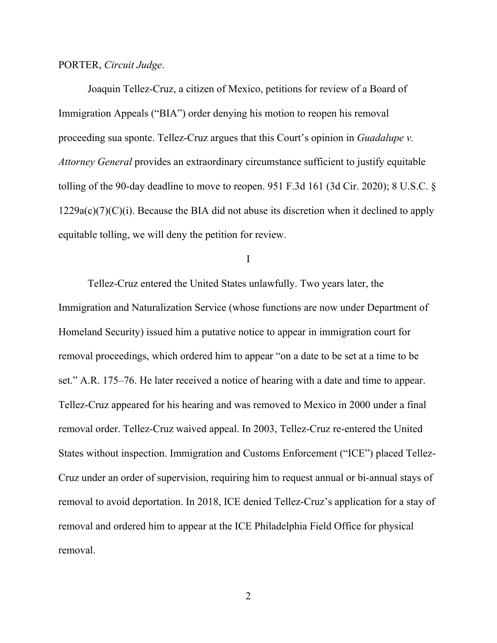### PORTER, *Circuit Judge*.

Joaquin Tellez-Cruz, a citizen of Mexico, petitions for review of a Board of Immigration Appeals ("BIA") order denying his motion to reopen his removal proceeding sua sponte. Tellez-Cruz argues that this Court's opinion in *Guadalupe v. Attorney General* provides an extraordinary circumstance sufficient to justify equitable tolling of the 90-day deadline to move to reopen. 951 F.3d 161 (3d Cir. 2020); 8 U.S.C. §  $1229a(c)(7)(C)(i)$ . Because the BIA did not abuse its discretion when it declined to apply equitable tolling, we will deny the petition for review.

I

Tellez-Cruz entered the United States unlawfully. Two years later, the Immigration and Naturalization Service (whose functions are now under Department of Homeland Security) issued him a putative notice to appear in immigration court for removal proceedings, which ordered him to appear "on a date to be set at a time to be set." A.R. 175–76. He later received a notice of hearing with a date and time to appear. Tellez-Cruz appeared for his hearing and was removed to Mexico in 2000 under a final removal order. Tellez-Cruz waived appeal. In 2003, Tellez-Cruz re-entered the United States without inspection. Immigration and Customs Enforcement ("ICE") placed Tellez-Cruz under an order of supervision, requiring him to request annual or bi-annual stays of removal to avoid deportation. In 2018, ICE denied Tellez-Cruz's application for a stay of removal and ordered him to appear at the ICE Philadelphia Field Office for physical removal.

 $\mathfrak{D}$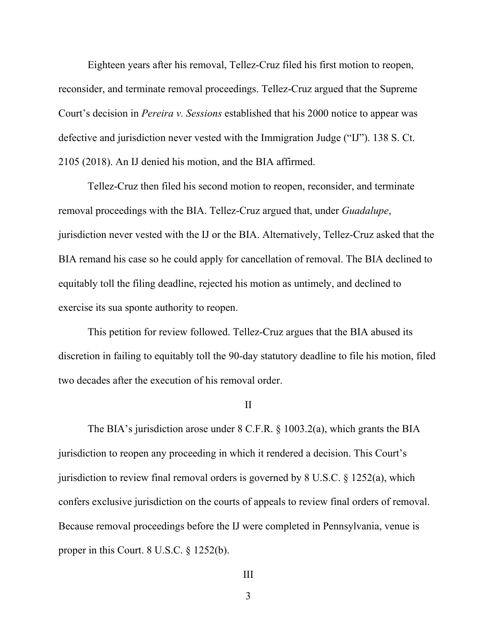Eighteen years after his removal, Tellez-Cruz filed his first motion to reopen, reconsider, and terminate removal proceedings. Tellez-Cruz argued that the Supreme Court's decision in *Pereira v. Sessions* established that his 2000 notice to appear was defective and jurisdiction never vested with the Immigration Judge ("IJ"). 138 S. Ct. 2105 (2018). An IJ denied his motion, and the BIA affirmed.

Tellez-Cruz then filed his second motion to reopen, reconsider, and terminate removal proceedings with the BIA. Tellez-Cruz argued that, under *Guadalupe*, jurisdiction never vested with the IJ or the BIA. Alternatively, Tellez-Cruz asked that the BIA remand his case so he could apply for cancellation of removal. The BIA declined to equitably toll the filing deadline, rejected his motion as untimely, and declined to exercise its sua sponte authority to reopen.

This petition for review followed. Tellez-Cruz argues that the BIA abused its discretion in failing to equitably toll the 90-day statutory deadline to file his motion, filed two decades after the execution of his removal order.

#### II

The BIA's jurisdiction arose under 8 C.F.R. § 1003.2(a), which grants the BIA jurisdiction to reopen any proceeding in which it rendered a decision. This Court's jurisdiction to review final removal orders is governed by 8 U.S.C. § 1252(a), which confers exclusive jurisdiction on the courts of appeals to review final orders of removal. Because removal proceedings before the IJ were completed in Pennsylvania, venue is proper in this Court. 8 U.S.C. § 1252(b).

```
3
```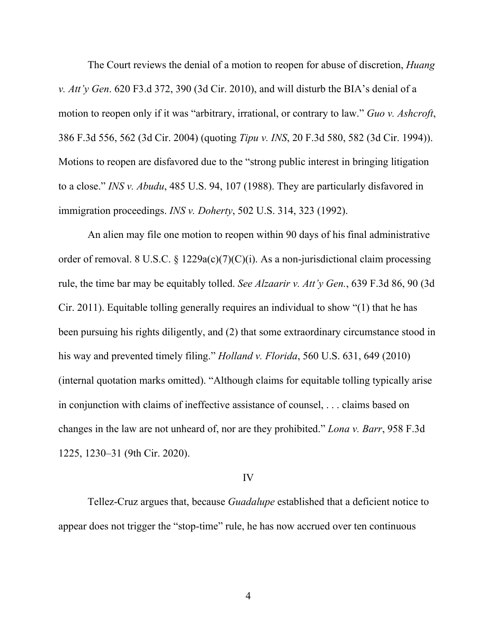The Court reviews the denial of a motion to reopen for abuse of discretion, *Huang v. Att'y Gen*. 620 F3.d 372, 390 (3d Cir. 2010), and will disturb the BIA's denial of a motion to reopen only if it was "arbitrary, irrational, or contrary to law." *Guo v. Ashcroft*, 386 F.3d 556, 562 (3d Cir. 2004) (quoting *Tipu v. INS*, 20 F.3d 580, 582 (3d Cir. 1994)). Motions to reopen are disfavored due to the "strong public interest in bringing litigation to a close." *INS v. Abudu*, 485 U.S. 94, 107 (1988). They are particularly disfavored in immigration proceedings. *INS v. Doherty*, 502 U.S. 314, 323 (1992).

An alien may file one motion to reopen within 90 days of his final administrative order of removal. 8 U.S.C.  $\S$  1229a(c)(7)(C)(i). As a non-jurisdictional claim processing rule, the time bar may be equitably tolled. *See Alzaarir v. Att'y Gen.*, 639 F.3d 86, 90 (3d Cir. 2011). Equitable tolling generally requires an individual to show "(1) that he has been pursuing his rights diligently, and (2) that some extraordinary circumstance stood in his way and prevented timely filing." *Holland v. Florida*, 560 U.S. 631, 649 (2010) (internal quotation marks omitted). "Although claims for equitable tolling typically arise in conjunction with claims of ineffective assistance of counsel, . . . claims based on changes in the law are not unheard of, nor are they prohibited." *Lona v. Barr*, 958 F.3d 1225, 1230–31 (9th Cir. 2020).

### IV

Tellez-Cruz argues that, because *Guadalupe* established that a deficient notice to appear does not trigger the "stop-time" rule, he has now accrued over ten continuous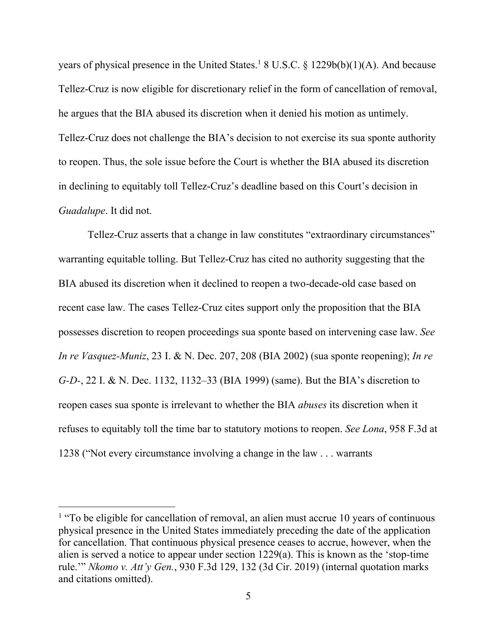years of physical presence in the United States.<sup>1</sup> 8 U.S.C. § 1229b(b)(1)(A). And because Tellez-Cruz is now eligible for discretionary relief in the form of cancellation of removal, he argues that the BIA abused its discretion when it denied his motion as untimely. Tellez-Cruz does not challenge the BIA's decision to not exercise its sua sponte authority to reopen. Thus, the sole issue before the Court is whether the BIA abused its discretion in declining to equitably toll Tellez-Cruz's deadline based on this Court's decision in *Guadalupe*. It did not.

Tellez-Cruz asserts that a change in law constitutes "extraordinary circumstances" warranting equitable tolling. But Tellez-Cruz has cited no authority suggesting that the BIA abused its discretion when it declined to reopen a two-decade-old case based on recent case law. The cases Tellez-Cruz cites support only the proposition that the BIA possesses discretion to reopen proceedings sua sponte based on intervening case law. *See In re Vasquez-Muniz*, 23 I. & N. Dec. 207, 208 (BIA 2002) (sua sponte reopening); *In re G-D-*, 22 I. & N. Dec. 1132, 1132–33 (BIA 1999) (same). But the BIA's discretion to reopen cases sua sponte is irrelevant to whether the BIA *abuses* its discretion when it refuses to equitably toll the time bar to statutory motions to reopen. *See Lona*, 958 F.3d at 1238 ("Not every circumstance involving a change in the law . . . warrants

<sup>&</sup>lt;sup>1</sup> "To be eligible for cancellation of removal, an alien must accrue 10 years of continuous physical presence in the United States immediately preceding the date of the application for cancellation. That continuous physical presence ceases to accrue, however, when the alien is served a notice to appear under section 1229(a). This is known as the 'stop-time rule.'" *Nkomo v. Att'y Gen.*, 930 F.3d 129, 132 (3d Cir. 2019) (internal quotation marks and citations omitted).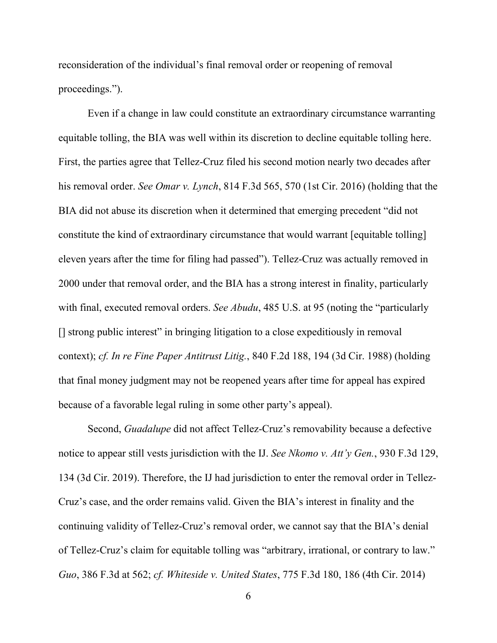reconsideration of the individual's final removal order or reopening of removal proceedings.").

Even if a change in law could constitute an extraordinary circumstance warranting equitable tolling, the BIA was well within its discretion to decline equitable tolling here. First, the parties agree that Tellez-Cruz filed his second motion nearly two decades after his removal order. *See Omar v. Lynch*, 814 F.3d 565, 570 (1st Cir. 2016) (holding that the BIA did not abuse its discretion when it determined that emerging precedent "did not constitute the kind of extraordinary circumstance that would warrant [equitable tolling] eleven years after the time for filing had passed"). Tellez-Cruz was actually removed in 2000 under that removal order, and the BIA has a strong interest in finality, particularly with final, executed removal orders. *See Abudu*, 485 U.S. at 95 (noting the "particularly [] strong public interest" in bringing litigation to a close expeditiously in removal context); *cf. In re Fine Paper Antitrust Litig.*, 840 F.2d 188, 194 (3d Cir. 1988) (holding that final money judgment may not be reopened years after time for appeal has expired because of a favorable legal ruling in some other party's appeal).

Second, *Guadalupe* did not affect Tellez-Cruz's removability because a defective notice to appear still vests jurisdiction with the IJ. *See Nkomo v. Att'y Gen.*, 930 F.3d 129, 134 (3d Cir. 2019). Therefore, the IJ had jurisdiction to enter the removal order in Tellez-Cruz's case, and the order remains valid. Given the BIA's interest in finality and the continuing validity of Tellez-Cruz's removal order, we cannot say that the BIA's denial of Tellez-Cruz's claim for equitable tolling was "arbitrary, irrational, or contrary to law." *Guo*, 386 F.3d at 562; *cf. Whiteside v. United States*, 775 F.3d 180, 186 (4th Cir. 2014)

6